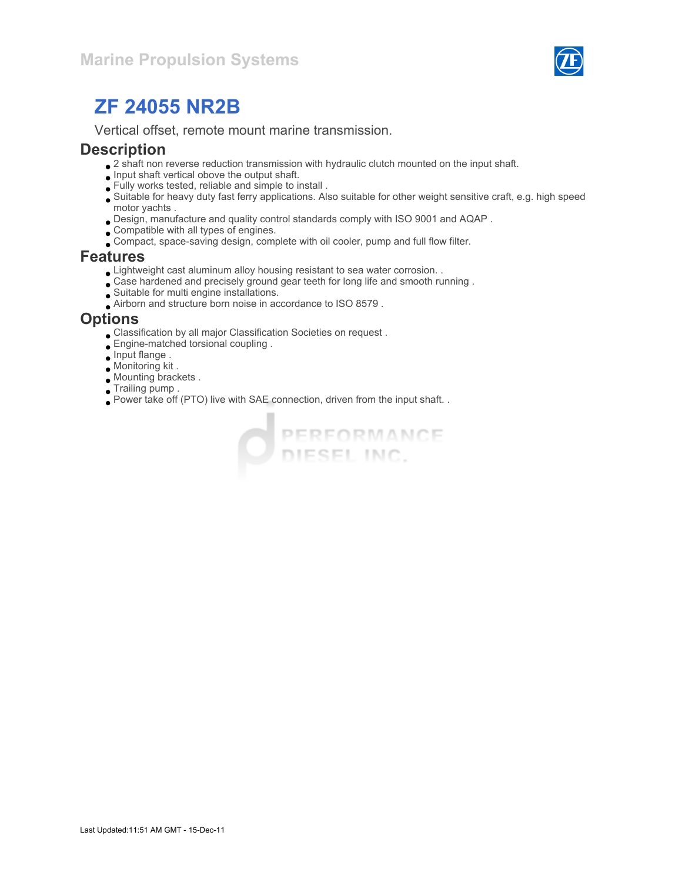

Vertical offset, remote mount marine transmission.

#### **Description**

- $\bullet$  2 shaft non reverse reduction transmission with hydraulic clutch mounted on the input shaft.
- $\bullet$  Input shaft vertical obove the output shaft.
- Fully works tested, reliable and simple to install .
- Suitable for heavy duty fast ferry applications. Also suitable for other weight sensitive craft, e.g. high speed motor yachts .
- Design, manufacture and quality control standards comply with ISO 9001 and AQAP .
- Compatible with all types of engines.
- Compact, space-saving design, complete with oil cooler, pump and full flow filter.

#### Features

- Lightweight cast aluminum alloy housing resistant to sea water corrosion. .
- Case hardened and precisely ground gear teeth for long life and smooth running .
- Suitable for multi engine installations.
- Airborn and structure born noise in accordance to ISO 8579 .

#### **Options**

- Classification by all major Classification Societies on request .
- Engine-matched torsional coupling .
- Input flange .
- Monitoring kit .
- Mounting brackets .
- Trailing pump .
- Power take off (PTO) live with SAE connection, driven from the input shaft. .

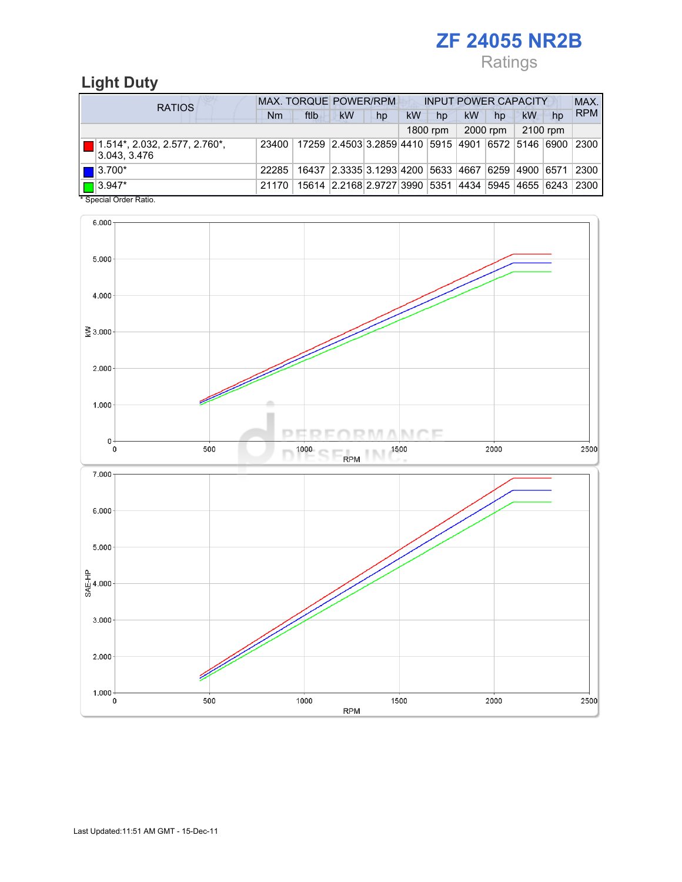Ratings

## Light Duty

| <b>RATIOS</b>         |                                                              | <b>MAX. TORQUE POWER/RPM</b><br><b>INPUT POWER CAPACITY</b> |                                                         |                                                        |    |    |          |           |          |          | MAX. |            |
|-----------------------|--------------------------------------------------------------|-------------------------------------------------------------|---------------------------------------------------------|--------------------------------------------------------|----|----|----------|-----------|----------|----------|------|------------|
|                       |                                                              | Nm                                                          | ftlb                                                    | <b>kW</b>                                              | hp | kW | hp       | <b>kW</b> | hp       | kW       | hp   | <b>RPM</b> |
|                       |                                                              |                                                             |                                                         |                                                        |    |    | 1800 rpm |           | 2000 rpm | 2100 rpm |      |            |
|                       | $\blacksquare$ 1.514*, 2.032, 2.577, 2.760*,<br>3.043, 3.476 | 23400                                                       | 17259  2.4503 3.2859 4410  5915  4901  6572  5146  6900 |                                                        |    |    |          |           |          |          |      | 2300       |
| $\blacksquare$ 3.700* |                                                              | 22285                                                       |                                                         | 16437 2.3335 3.1293 4200 5633 4667 6259 4900 6571 2300 |    |    |          |           |          |          |      |            |
| $\sqrt{2}$ 3.947*     | $\ddotsc$ $\ddotsc$ $\ddotsc$ $\ddotsc$                      | 21170                                                       |                                                         | 15614 2.2168 2.9727 3990 5351 4434 5945 4655 6243      |    |    |          |           |          |          |      | 2300       |

\* Special Order Ratio.

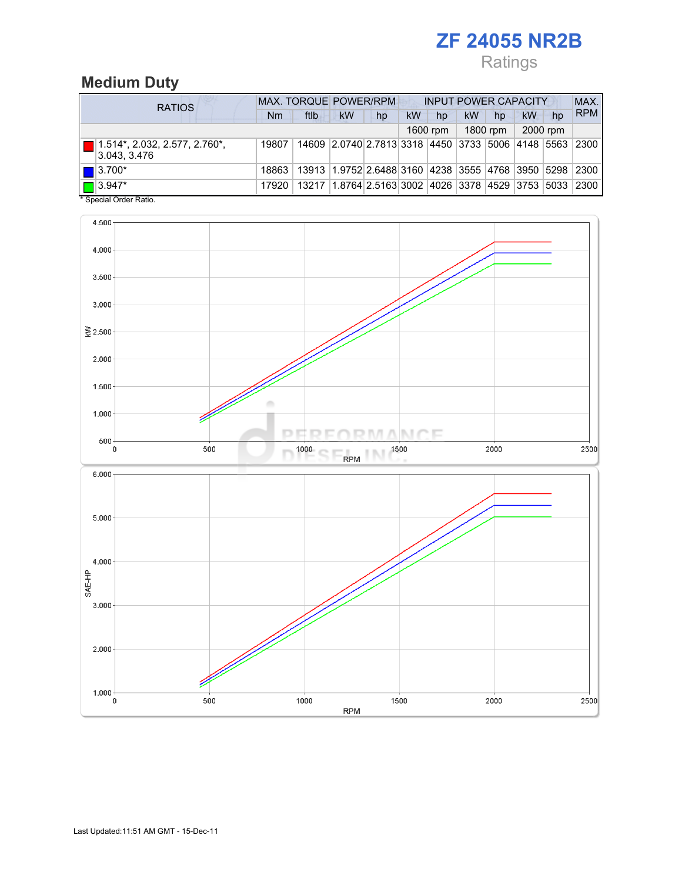## Ratings

## Medium Duty

| <b>RATIOS</b>                                        | MAX. TORQUE POWER/RPM<br><b>INPUT POWER CAPACITY</b> |      |                                                                   |    |    |          |    |          |          |    | MAX.       |
|------------------------------------------------------|------------------------------------------------------|------|-------------------------------------------------------------------|----|----|----------|----|----------|----------|----|------------|
|                                                      | Nm                                                   | ftlb | <b>kW</b>                                                         | hp | kW | hp       | kW | hp       | kW       | hp | <b>RPM</b> |
|                                                      |                                                      |      |                                                                   |    |    | 1600 rpm |    | 1800 rpm | 2000 rpm |    |            |
| $\Box$ 1.514*, 2.032, 2.577, 2.760*,<br>3.043, 3.476 | 19807                                                |      | 14609 2.0740 2.7813 3318 4450 3733 5006 4148 5563                 |    |    |          |    |          |          |    | 2300       |
| $\blacksquare$ 3.700*                                | 18863                                                |      | 13913 1.9752 2.6488 3160 4238 3555 4768 3950 5298 2300            |    |    |          |    |          |          |    |            |
| $\Box$ 3.947*<br>$*$ Consider Codes Definition       | 17920                                                |      | 13217   1.8764   2.5163   3002   4026   3378   4529   3753   5033 |    |    |          |    |          |          |    | 2300       |

Special Order Ratio.

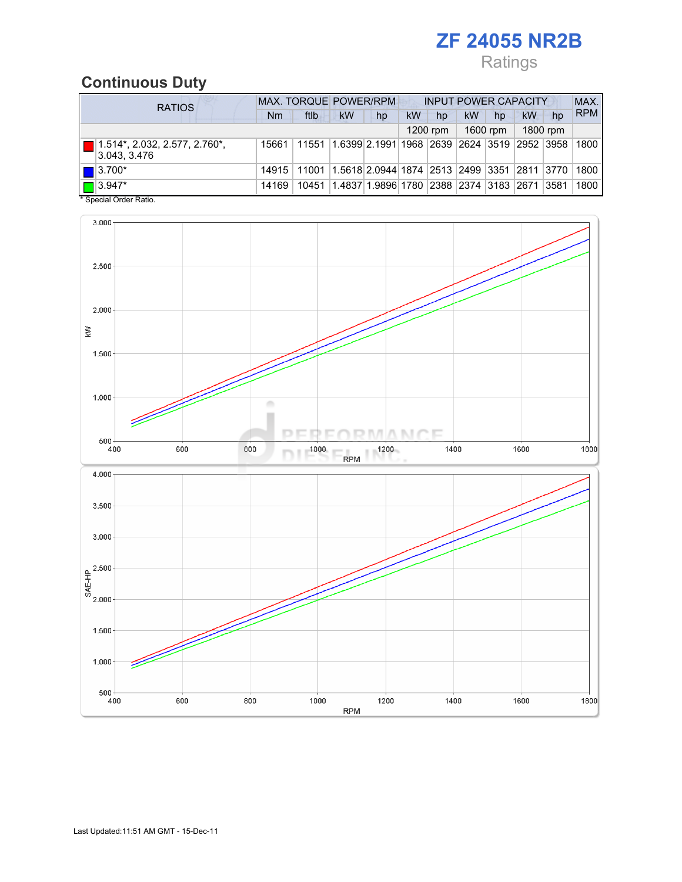# Ratings

## Continuous Duty

| <b>RATIOS</b>                                        |       | MAX. TORQUE POWER/RPM                                                            |                                                         |    | <b>INPUT POWER CAPACITY</b> |          |    |          |    |          | MAX.       |
|------------------------------------------------------|-------|----------------------------------------------------------------------------------|---------------------------------------------------------|----|-----------------------------|----------|----|----------|----|----------|------------|
|                                                      | Nm    | ftlb                                                                             | <b>kW</b>                                               | hp | kW                          | hp       | kW | hp       | kW | hp       | <b>RPM</b> |
|                                                      |       |                                                                                  |                                                         |    |                             | 1200 rpm |    | 1600 rpm |    | 1800 rpm |            |
| $\Box$ 1.514*, 2.032, 2.577, 2.760*,<br>3.043, 3.476 | 15661 | 11551                                                                            | 1.6399 2.1991 1968  2639  2624  3519  2952  3958   1800 |    |                             |          |    |          |    |          |            |
| $\blacksquare$ 3.700*                                |       | 14915   11001   1.5618   2.0944   1874   2513   2499   3351   2811   3770   1800 |                                                         |    |                             |          |    |          |    |          |            |
| $\Box$ 3.947*<br>$*$ Consider Order Detter           | 14169 | 10451                                                                            | 1.4837 1.9896 1780  2388  2374  3183  2671  3581        |    |                             |          |    |          |    |          | 1800       |

Special Order Ratio.

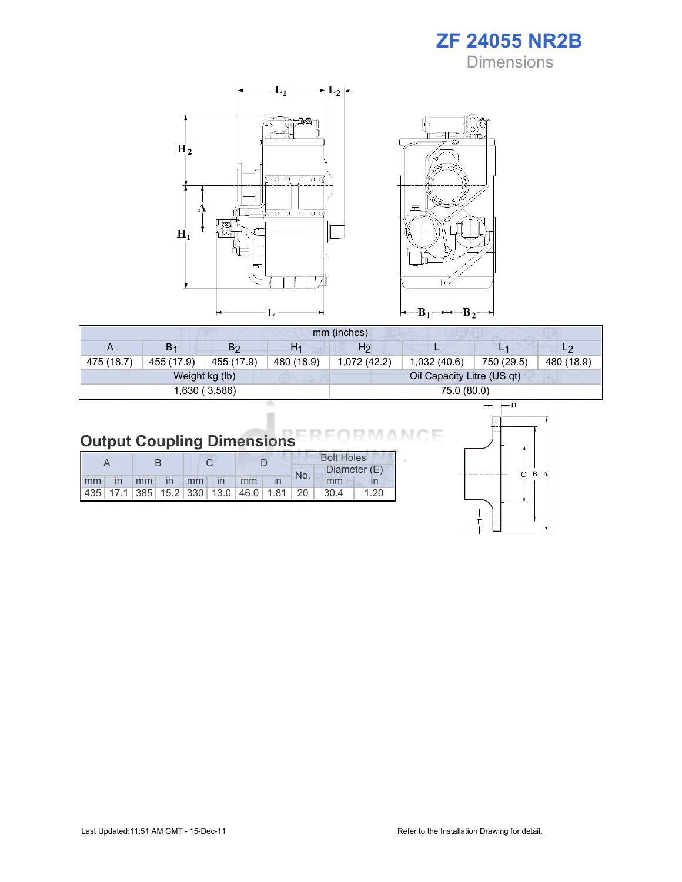ZF 24055 NR2B **Dimensions** 



| mm (inches) |            |                |                |             |                            |            |                |  |  |
|-------------|------------|----------------|----------------|-------------|----------------------------|------------|----------------|--|--|
| A           | B1         | B2             | H <sub>1</sub> | H2          |                            | L1         | L <sub>2</sub> |  |  |
| 475 (18.7)  | 455 (17.9) | 455 (17.9)     | 480 (18.9)     | 1,072(42.2) | 1,032(40.6)                | 750 (29.5) | 480 (18.9)     |  |  |
|             |            | Weight kg (lb) |                |             | Oil Capacity Litre (US qt) |            |                |  |  |
|             |            | 1,630 (3,586)  |                |             | 75.0 (80.0)                |            |                |  |  |

#### Output Coupling Dimensions Е

|  |  |  |                       |  |  | <b>Bolt Holes</b> |                                                  |      |  |  |
|--|--|--|-----------------------|--|--|-------------------|--------------------------------------------------|------|--|--|
|  |  |  |                       |  |  | No.               | Diameter (E)                                     |      |  |  |
|  |  |  | Imm in mm in mm in mm |  |  |                   | mm                                               |      |  |  |
|  |  |  |                       |  |  |                   | $ 435 $ 17.1 385 15.2 330 13.0 46.0 1.81 20 30.4 | 1.20 |  |  |